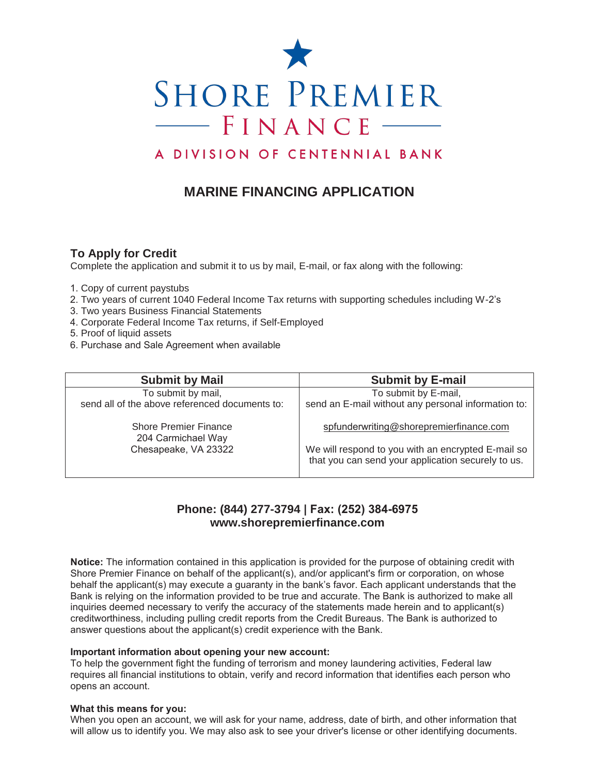

# A DIVISION OF CENTENNIAL BANK

# **MARINE FINANCING APPLICATION**

## **To Apply for Credit**

Complete the application and submit it to us by mail, E-mail, or fax along with the following:

- 1. Copy of current paystubs
- 2. Two years of current 1040 Federal Income Tax returns with supporting schedules including W-2's
- 3. Two years Business Financial Statements
- 4. Corporate Federal Income Tax returns, if Self-Employed
- 5. Proof of liquid assets
- 6. Purchase and Sale Agreement when available

| <b>Submit by Mail</b>                              | <b>Submit by E-mail</b>                                                                                  |
|----------------------------------------------------|----------------------------------------------------------------------------------------------------------|
| To submit by mail,                                 | To submit by E-mail,                                                                                     |
| send all of the above referenced documents to:     | send an E-mail without any personal information to:                                                      |
| <b>Shore Premier Finance</b><br>204 Carmichael Way | spfunderwriting@shorepremierfinance.com                                                                  |
| Chesapeake, VA 23322                               | We will respond to you with an encrypted E-mail so<br>that you can send your application securely to us. |

# **Phone: (844) 277-3794 | Fax: (252) 384-6975 www.shorepremierfinance.com**

**Notice:** The information contained in this application is provided for the purpose of obtaining credit with Shore Premier Finance on behalf of the applicant(s), and/or applicant's firm or corporation, on whose behalf the applicant(s) may execute a guaranty in the bank's favor. Each applicant understands that the Bank is relying on the information provided to be true and accurate. The Bank is authorized to make all inquiries deemed necessary to verify the accuracy of the statements made herein and to applicant(s) creditworthiness, including pulling credit reports from the Credit Bureaus. The Bank is authorized to answer questions about the applicant(s) credit experience with the Bank.

### **Important information about opening your new account:**

To help the government fight the funding of terrorism and money laundering activities, Federal law requires all financial institutions to obtain, verify and record information that identifies each person who opens an account.

#### **What this means for you:**

When you open an account, we will ask for your name, address, date of birth, and other information that will allow us to identify you. We may also ask to see your driver's license or other identifying documents.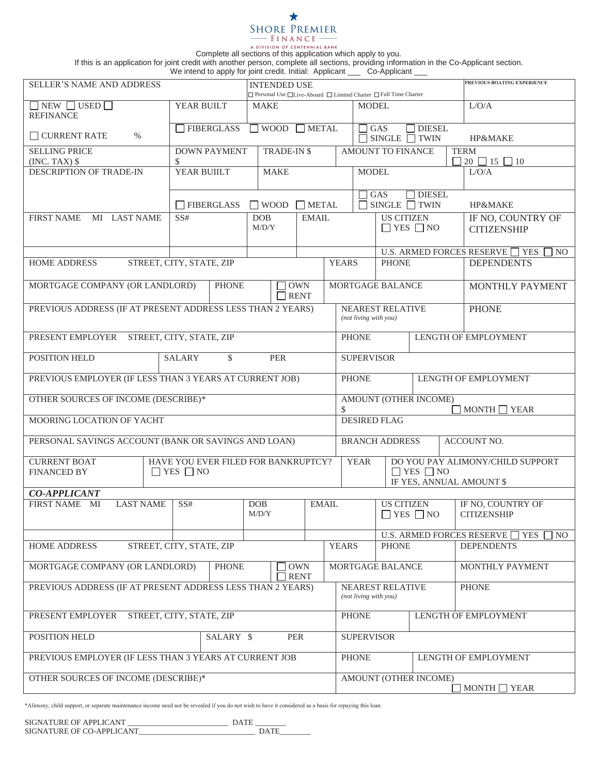Complete all sections of this application which apply to you.

If this is an application for joint credit with another person, complete all sections, providing information in the Co-Applicant section.

We intend to apply for joint credit. Initial: Applicant \_\_\_ Co-Applicant \_\_\_

| <b>SELLER'S NAME AND ADDRESS</b>                                                                         |                                           |                                                                    | <b>INTENDED USE</b> |                                           | PREVIOUS BOATING EXPERIENCE          |                                                                         |                                                  |                   |                                                                  |  |
|----------------------------------------------------------------------------------------------------------|-------------------------------------------|--------------------------------------------------------------------|---------------------|-------------------------------------------|--------------------------------------|-------------------------------------------------------------------------|--------------------------------------------------|-------------------|------------------------------------------------------------------|--|
|                                                                                                          |                                           | □ Personal Use □ Live-Aboard □ Limited Charter □ Full Time Charter |                     |                                           |                                      |                                                                         |                                                  |                   |                                                                  |  |
| $\Box$ NEW $\Box$ USED $\Box$<br><b>REFINANCE</b>                                                        | YEAR BUILT                                |                                                                    | <b>MAKE</b>         |                                           |                                      |                                                                         | MODEL.                                           |                   | L/O/A                                                            |  |
| $\Box$ CURRENT RATE<br>%                                                                                 | FIBERGLASS                                | $\Box$ WOOD $\Box$ METAL                                           |                     |                                           |                                      |                                                                         | $\sqcap$ GAS<br>$\Box$ SINGLE $\Box$ TWIN        | $\Box$ DIESEL     | HP&MAKE                                                          |  |
| <b>SELLING PRICE</b>                                                                                     | \$                                        | <b>DOWN PAYMENT</b><br><b>TRADE-IN \$</b>                          |                     |                                           |                                      | <b>AMOUNT TO FINANCE</b>                                                |                                                  |                   | <b>TERM</b><br>$20 \square 15 \square 10$                        |  |
| $(INC. TAX)$ \$<br>DESCRIPTION OF TRADE-IN                                                               | YEAR BUIILT                               |                                                                    | <b>MAKE</b>         |                                           |                                      | <b>MODEL</b>                                                            |                                                  |                   | L/O/A                                                            |  |
|                                                                                                          |                                           |                                                                    |                     |                                           |                                      |                                                                         |                                                  |                   |                                                                  |  |
|                                                                                                          | $\Box$ FIBERGLASS                         | $\Box$ WOOD<br>$\Box$ METAL                                        |                     |                                           |                                      | <b>DIESEL</b><br>$\Box$ GAS<br>$\Box$ SINGLE $\Box$ TWIN                |                                                  |                   | HP&MAKE                                                          |  |
| FIRST NAME MI LAST NAME                                                                                  | SS#                                       | <b>DOB</b>                                                         |                     | <b>EMAIL</b><br>M/D/Y                     |                                      | <b>US CITIZEN</b><br>$\Box$ YES $\Box$ NO                               |                                                  |                   | IF NO, COUNTRY OF<br><b>CITIZENSHIP</b>                          |  |
|                                                                                                          |                                           |                                                                    |                     |                                           |                                      |                                                                         |                                                  |                   |                                                                  |  |
|                                                                                                          |                                           |                                                                    |                     |                                           |                                      |                                                                         |                                                  |                   | U.S. ARMED FORCES RESERVE $\Box$ YES<br>NO                       |  |
| <b>HOME ADDRESS</b>                                                                                      |                                           | STREET, CITY, STATE, ZIP                                           |                     |                                           | <b>YEARS</b>                         | <b>PHONE</b>                                                            |                                                  |                   | <b>DEPENDENTS</b>                                                |  |
| MORTGAGE COMPANY (OR LANDLORD)                                                                           | <b>PHONE</b><br><b>OWN</b><br>$\Box$ RENT |                                                                    |                     |                                           | MORTGAGE BALANCE                     |                                                                         |                                                  | MONTHLY PAYMENT   |                                                                  |  |
| PREVIOUS ADDRESS (IF AT PRESENT ADDRESS LESS THAN 2 YEARS)                                               |                                           |                                                                    |                     |                                           |                                      |                                                                         | <b>NEAREST RELATIVE</b><br>(not living with you) |                   | <b>PHONE</b>                                                     |  |
| PRESENT EMPLOYER STREET, CITY, STATE, ZIP                                                                |                                           |                                                                    |                     |                                           |                                      | <b>PHONE</b>                                                            |                                                  |                   | LENGTH OF EMPLOYMENT                                             |  |
| POSITION HELD                                                                                            | \$<br><b>SALARY</b>                       |                                                                    | <b>PER</b>          |                                           |                                      | <b>SUPERVISOR</b>                                                       |                                                  |                   |                                                                  |  |
| PREVIOUS EMPLOYER (IF LESS THAN 3 YEARS AT CURRENT JOB)                                                  |                                           |                                                                    |                     |                                           |                                      | <b>PHONE</b><br>LENGTH OF EMPLOYMENT                                    |                                                  |                   |                                                                  |  |
| OTHER SOURCES OF INCOME (DESCRIBE)*                                                                      |                                           |                                                                    |                     |                                           | $\mathbb{S}$                         | <b>AMOUNT (OTHER INCOME)</b><br>$MONTH \Box YEAR$                       |                                                  |                   |                                                                  |  |
| MOORING LOCATION OF YACHT<br><b>DESIRED FLAG</b>                                                         |                                           |                                                                    |                     |                                           |                                      |                                                                         |                                                  |                   |                                                                  |  |
| PERSONAL SAVINGS ACCOUNT (BANK OR SAVINGS AND LOAN)<br><b>BRANCH ADDRESS</b><br>ACCOUNT NO.              |                                           |                                                                    |                     |                                           |                                      |                                                                         |                                                  |                   |                                                                  |  |
| HAVE YOU EVER FILED FOR BANKRUPTCY?<br><b>CURRENT BOAT</b><br><b>FINANCED BY</b><br>$\Box$ YES $\Box$ NO |                                           |                                                                    |                     |                                           |                                      | DO YOU PAY ALIMONY/CHILD SUPPORT<br><b>YEAR</b><br>$\Box$ YES $\Box$ NO |                                                  |                   |                                                                  |  |
| IF YES, ANNUAL AMOUNT \$                                                                                 |                                           |                                                                    |                     |                                           |                                      |                                                                         |                                                  |                   |                                                                  |  |
| <b>CO-APPLICANT</b><br><b>LAST NAME</b><br>FIRST NAME MI<br>SS#<br>EMAIL<br><b>US CITIZEN</b><br>DOB     |                                           |                                                                    |                     |                                           |                                      |                                                                         | IF NO, COUNTRY OF                                |                   |                                                                  |  |
|                                                                                                          |                                           |                                                                    | M/D/Y               |                                           |                                      | $\Box$ YES $\Box$ NO                                                    |                                                  |                   | <b>CITIZENSHIP</b>                                               |  |
|                                                                                                          |                                           |                                                                    |                     |                                           |                                      |                                                                         |                                                  |                   | <b>U.S. ARMED FORCES RESERVE</b><br><b>YES</b><br>N <sub>O</sub> |  |
| STREET, CITY, STATE, ZIP<br>HOME ADDRESS                                                                 |                                           |                                                                    |                     |                                           | <b>YEARS</b><br><b>PHONE</b>         |                                                                         |                                                  | <b>DEPENDENTS</b> |                                                                  |  |
| MORTGAGE COMPANY (OR LANDLORD)<br><b>OWN</b><br><b>PHONE</b><br><b>RENT</b>                              |                                           |                                                                    |                     |                                           | MORTGAGE BALANCE                     |                                                                         |                                                  | MONTHLY PAYMENT   |                                                                  |  |
| PREVIOUS ADDRESS (IF AT PRESENT ADDRESS LESS THAN 2 YEARS)                                               |                                           |                                                                    |                     | NEAREST RELATIVE<br>(not living with you) |                                      |                                                                         | <b>PHONE</b>                                     |                   |                                                                  |  |
| PRESENT EMPLOYER<br>STREET, CITY, STATE, ZIP                                                             |                                           |                                                                    |                     | <b>PHONE</b><br>LENGTH OF EMPLOYMENT      |                                      |                                                                         |                                                  |                   |                                                                  |  |
| POSITION HELD<br>SALARY \$<br><b>PER</b>                                                                 |                                           |                                                                    |                     |                                           |                                      | <b>SUPERVISOR</b>                                                       |                                                  |                   |                                                                  |  |
| PREVIOUS EMPLOYER (IF LESS THAN 3 YEARS AT CURRENT JOB                                                   |                                           |                                                                    |                     |                                           | <b>PHONE</b><br>LENGTH OF EMPLOYMENT |                                                                         |                                                  |                   |                                                                  |  |
| OTHER SOURCES OF INCOME (DESCRIBE)*                                                                      |                                           |                                                                    |                     |                                           | AMOUNT (OTHER INCOME)<br>MONTH YEAR  |                                                                         |                                                  |                   |                                                                  |  |

\*Alimony, child support, or separate maintenance income need not be revealed if you do not wish to have it considered as a basis for repaying this loan.